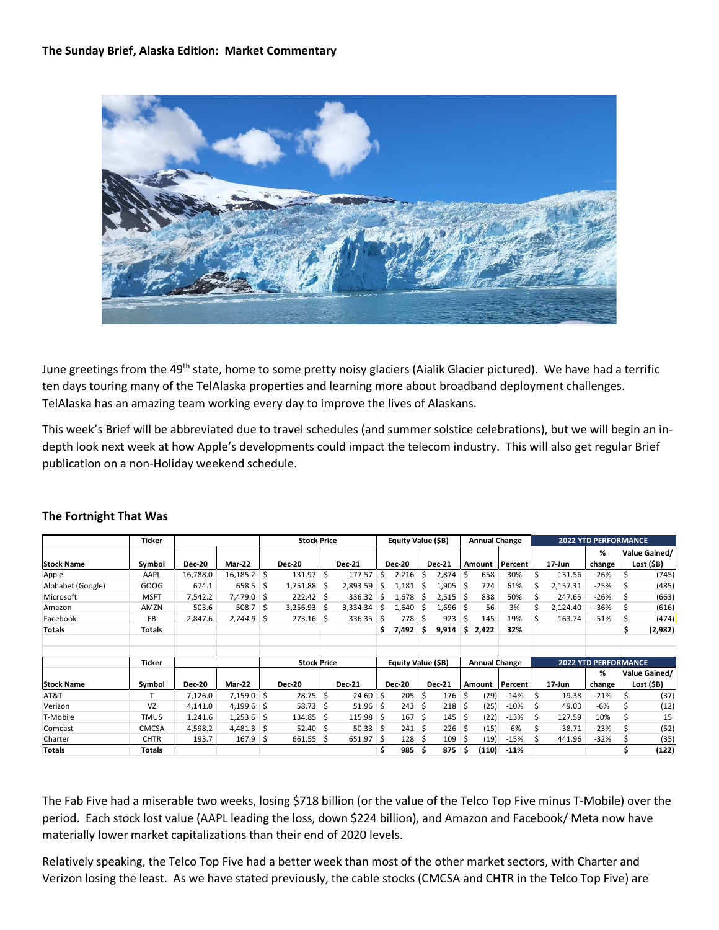

June greetings from the 49<sup>th</sup> state, home to some pretty noisy glaciers (Aialik Glacier pictured). We have had a terrific ten days touring many of the TelAlaska properties and learning more about broadband deployment challenges. TelAlaska has an amazing team working every day to improve the lives of Alaskans.

This week's Brief will be abbreviated due to travel schedules (and summer solstice celebrations), but we will begin an indepth look next week at how Apple's developments could impact the telecom industry. This will also get regular Brief publication on a non-Holiday weekend schedule.

|                   | <b>Ticker</b> |               |               | <b>Stock Price</b> |               |    |                    | Equity Value (\$B) |               |                      |               | <b>Annual Change</b> |                             |         |    | <b>2022 YTD PERFORMANCE</b> |        |    |               |  |
|-------------------|---------------|---------------|---------------|--------------------|---------------|----|--------------------|--------------------|---------------|----------------------|---------------|----------------------|-----------------------------|---------|----|-----------------------------|--------|----|---------------|--|
|                   |               |               |               |                    |               |    |                    |                    |               |                      |               |                      |                             |         |    |                             | %      |    | Value Gained/ |  |
| <b>Stock Name</b> | Symbol        | <b>Dec-20</b> | Mar-22        |                    | <b>Dec-20</b> |    | <b>Dec-21</b>      |                    | <b>Dec-20</b> |                      | <b>Dec-21</b> |                      | Amount                      | Percent |    | 17-Jun                      | change |    | Lost (\$B)    |  |
| Apple             | AAPL          | 16.788.0      | $16,185.2$ \$ |                    | 131.97        | Ŝ. | 177.57             | Ś                  | 2,216         | Ŝ.                   | 2,874         |                      | 658                         | 30%     | Ś  | 131.56                      | $-26%$ | Ś  | (745)         |  |
| Alphabet (Google) | GOOG          | 674.1         | 658.5         | -S                 | 1,751.88      | -S | 2.893.59           | S                  | 1,181         | S                    | 1,905         | -S                   | 724                         | 61%     | Ś  | 2,157.31                    | $-25%$ | S  | (485)         |  |
| Microsoft         | <b>MSFT</b>   | 7,542.2       | 7,479.0 \$    |                    | 222.42        | Ŝ. | 336.32             | S                  | 1,678         | S                    | 2,515         | ∣\$                  | 838                         | 50%     | Ś  | 247.65                      | $-26%$ |    | (663)         |  |
| Amazon            | AMZN          | 503.6         | 508.7         | Ŝ.                 | 3,256.93      | Ŝ. | 3,334.34           | S                  | 1,640         | S                    | 1,696 \$      |                      | 56                          | 3%      | Ś  | 2,124.40                    | $-36%$ |    | (616)         |  |
| Facebook          | FB            | 2,847.6       | 2,744.9       | S                  | 273.16        | Ś  | 336.35             | S                  | 778           | Ś.                   | 923           |                      | 145                         | 19%     |    | 163.74                      | $-51%$ |    | (474)         |  |
| <b>Totals</b>     | <b>Totals</b> |               |               |                    |               |    |                    | Ś.                 | 7,492         | s                    | 9,914         | \$                   | 2,422                       | 32%     |    |                             |        | \$ | (2,982)       |  |
|                   | Ticker        |               |               | <b>Stock Price</b> |               |    | Equity Value (\$B) |                    |               | <b>Annual Change</b> |               |                      | <b>2022 YTD PERFORMANCE</b> |         |    |                             |        |    |               |  |
|                   |               |               |               |                    |               |    |                    |                    |               |                      |               |                      |                             |         |    |                             | %      |    | Value Gained/ |  |
| <b>Stock Name</b> | Symbol        | <b>Dec-20</b> | Mar-22        |                    | <b>Dec-20</b> |    | <b>Dec-21</b>      |                    | <b>Dec-20</b> |                      | <b>Dec-21</b> |                      | Amount                      | Percent |    | 17-Jun                      | change |    | Lost $(5B)$   |  |
| AT&T              |               | 7,126.0       | $7,159.0$ \$  |                    | 28.75         | Ŝ. | 24.60              | -Ś                 | 205           | Ŝ.                   | 176           | Ś                    | (29)                        | $-14%$  | Ś. | 19.38                       | $-21%$ | Ś  | (37)          |  |
| Verizon           | VZ            | 4,141.0       | 4,199.6       | -\$                | 58.73         | Ŝ. | $51.96$ \$         |                    | 243           | Ś.                   | 218           | -S                   | (25)                        | $-10%$  | Ś  | 49.03                       | -6%    |    | (12)          |  |
| T-Mobile          | <b>TMUS</b>   | 1,241.6       | $1,253.6$ \$  |                    | 134.85        | Ŝ  | 115.98             | -Ś                 | 167           | Ŝ.                   | 145           | -S                   | (22)                        | $-13%$  | Ś  | 127.59                      | 10%    |    | 15            |  |
| Comcast           | CMCSA         | 4,598.2       | $4,481.3$ \$  |                    | $52.40$ \$    |    | 50.33              | S                  | 241           | Ŝ.                   | 226           | S                    | (15)                        | $-6%$   | Ś  | 38.71                       | $-23%$ |    | (52)          |  |
| Charter           | <b>CHTR</b>   | 193.7         | 167.9         | \$                 | 661.55        | S  | 651.97             | - S                | 128           | S                    | 109           |                      | (19)                        | $-15%$  | Ś  | 441.96                      | $-32%$ |    | (35)          |  |
| Totals            | Totals        |               |               |                    |               |    |                    | \$                 | 985           | Ŝ                    | 875           | s                    | (110)                       | $-11%$  |    |                             |        |    | (122)         |  |

## **The Fortnight That Was**

The Fab Five had a miserable two weeks, losing \$718 billion (or the value of the Telco Top Five minus T-Mobile) over the period. Each stock lost value (AAPL leading the loss, down \$224 billion), and Amazon and Facebook/ Meta now have materially lower market capitalizations than their end of 2020 levels.

Relatively speaking, the Telco Top Five had a better week than most of the other market sectors, with Charter and Verizon losing the least. As we have stated previously, the cable stocks (CMCSA and CHTR in the Telco Top Five) are